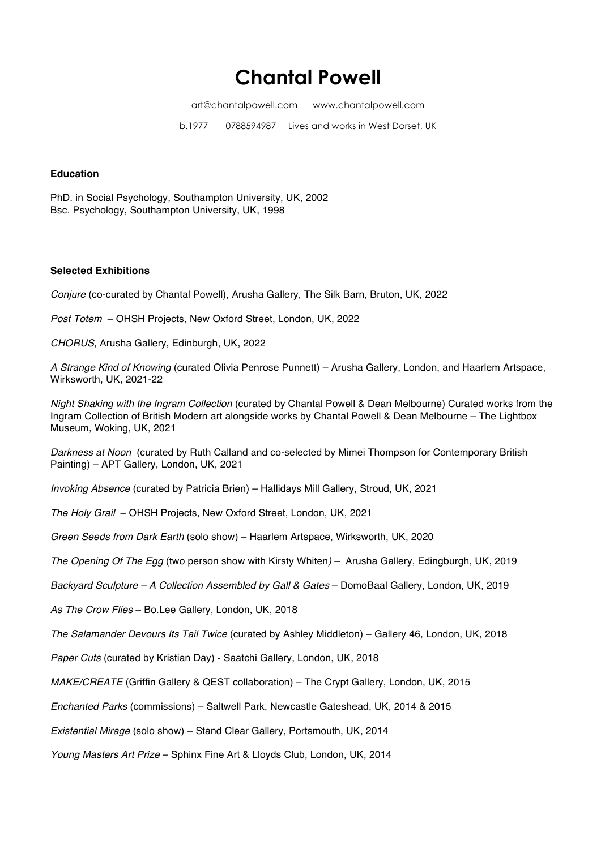# **Chantal Powell**

art@chantalpowell.com www.chantalpowell.com

b.19770788594987 Lives and works in West Dorset, UK

## **Education**

PhD. in Social Psychology, Southampton University, UK, 2002 Bsc. Psychology, Southampton University, UK, 1998

### **Selected Exhibitions**

*Conjure* (co-curated by Chantal Powell), Arusha Gallery, The Silk Barn, Bruton, UK, 2022

*Post Totem* – OHSH Projects, New Oxford Street, London, UK, 2022

*CHORUS,* Arusha Gallery, Edinburgh, UK, 2022

*A Strange Kind of Knowing* (curated Olivia Penrose Punnett) – Arusha Gallery, London, and Haarlem Artspace, Wirksworth, UK, 2021-22

*Night Shaking with the Ingram Collection* (curated by Chantal Powell & Dean Melbourne) Curated works from the Ingram Collection of British Modern art alongside works by Chantal Powell & Dean Melbourne – The Lightbox Museum, Woking, UK, 2021

*Darkness at Noon* (curated by Ruth Calland and co-selected by Mimei Thompson for Contemporary British Painting) – APT Gallery, London, UK, 2021

*Invoking Absence* (curated by Patricia Brien) – Hallidays Mill Gallery, Stroud, UK, 2021

*The Holy Grail* – OHSH Projects, New Oxford Street, London, UK, 2021

*Green Seeds from Dark Earth* (solo show) – Haarlem Artspace, Wirksworth, UK, 2020

*The Opening Of The Egg* (two person show with Kirsty Whiten*)* – Arusha Gallery, Edingburgh, UK, 2019

*Backyard Sculpture – A Collection Assembled by Gall & Gates* – DomoBaal Gallery, London, UK, 2019

*As The Crow Flies* – Bo.Lee Gallery, London, UK, 2018

*The Salamander Devours Its Tail Twice* (curated by Ashley Middleton) – Gallery 46, London, UK, 2018

*Paper Cuts* (curated by Kristian Day) - Saatchi Gallery, London, UK, 2018

*MAKE/CREATE* (Griffin Gallery & QEST collaboration) – The Crypt Gallery, London, UK, 2015

*Enchanted Parks* (commissions) – Saltwell Park, Newcastle Gateshead, UK, 2014 & 2015

*Existential Mirage* (solo show) – Stand Clear Gallery, Portsmouth, UK, 2014

*Young Masters Art Prize* – Sphinx Fine Art & Lloyds Club, London, UK, 2014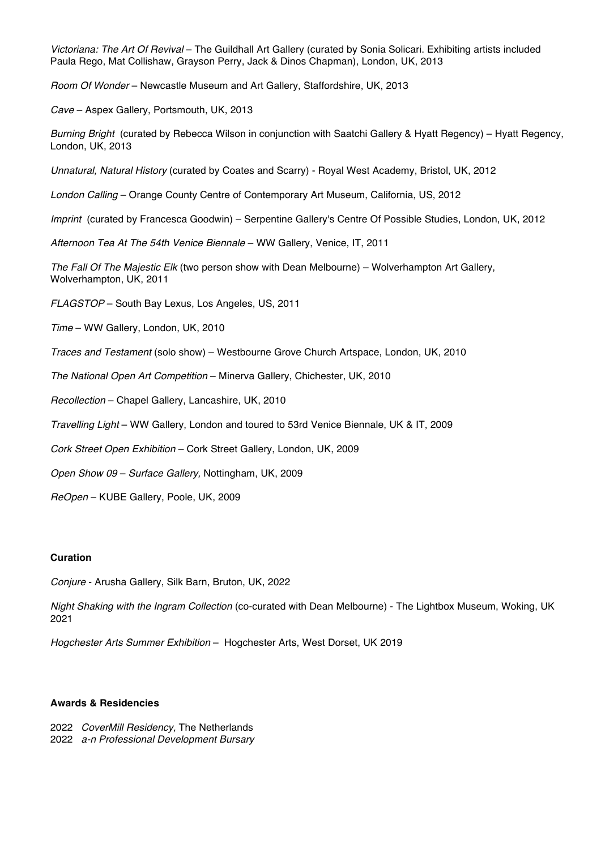*Victoriana: The Art Of Revival* – The Guildhall Art Gallery (curated by Sonia Solicari. Exhibiting artists included Paula Rego, Mat Collishaw, Grayson Perry, Jack & Dinos Chapman), London, UK, 2013

*Room Of Wonder* – Newcastle Museum and Art Gallery, Staffordshire, UK, 2013

*Cave* – Aspex Gallery, Portsmouth, UK, 2013

*Burning Bright* (curated by Rebecca Wilson in conjunction with Saatchi Gallery & Hyatt Regency) – Hyatt Regency, London, UK, 2013

*Unnatural, Natural History* (curated by Coates and Scarry) - Royal West Academy, Bristol, UK, 2012

*London Calling* – Orange County Centre of Contemporary Art Museum, California, US, 2012

*Imprint* (curated by Francesca Goodwin) – Serpentine Gallery's Centre Of Possible Studies, London, UK, 2012

*Afternoon Tea At The 54th Venice Biennale* – WW Gallery, Venice, IT, 2011

*The Fall Of The Majestic Elk* (two person show with Dean Melbourne) – Wolverhampton Art Gallery, Wolverhampton, UK, 2011

*FLAGSTOP* – South Bay Lexus, Los Angeles, US, 2011

*Time* – WW Gallery, London, UK, 2010

*Traces and Testament* (solo show) – Westbourne Grove Church Artspace, London, UK, 2010

*The National Open Art Competition* – Minerva Gallery, Chichester, UK, 2010

*Recollection* – Chapel Gallery, Lancashire, UK, 2010

*Travelling Light* – WW Gallery, London and toured to 53rd Venice Biennale, UK & IT, 2009

*Cork Street Open Exhibition* – Cork Street Gallery, London, UK, 2009

*Open Show 09* – *Surface Gallery,* Nottingham, UK, 2009

*ReOpen* – KUBE Gallery, Poole, UK, 2009

#### **Curation**

*Conjure* - Arusha Gallery, Silk Barn, Bruton, UK, 2022

*Night Shaking with the Ingram Collection* (co-curated with Dean Melbourne) - The Lightbox Museum, Woking, UK 2021

*Hogchester Arts Summer Exhibition* – Hogchester Arts, West Dorset, UK 2019

# **Awards & Residencies**

2022 *CoverMill Residency,* The Netherlands 2022 *a-n Professional Development Bursary*